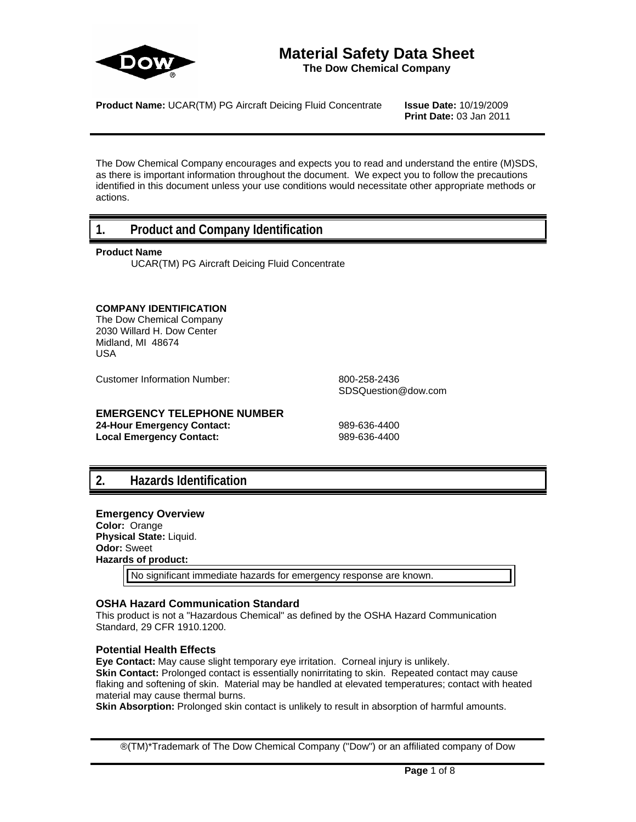

# **Material Safety Data Sheet**

**The Dow Chemical Company**

**Product Name:** UCAR(TM) PG Aircraft Deicing Fluid Concentrate **Issue Date:** 10/19/2009

**Print Date:** 03 Jan 2011

The Dow Chemical Company encourages and expects you to read and understand the entire (M)SDS, as there is important information throughout the document. We expect you to follow the precautions identified in this document unless your use conditions would necessitate other appropriate methods or actions.

# **1. Product and Company Identification**

#### **Product Name**

UCAR(TM) PG Aircraft Deicing Fluid Concentrate

#### **COMPANY IDENTIFICATION**

The Dow Chemical Company 2030 Willard H. Dow Center Midland, MI 48674 USA

Customer Information Number: 800-258-2436

SDSQuestion@dow.com

#### **EMERGENCY TELEPHONE NUMBER**

**24-Hour Emergency Contact:** 989-636-4400 Local Emergency Contact: 989-636-4400

# **2. Hazards Identification**

#### **Emergency Overview Color:** Orange **Physical State:** Liquid.

**Odor:** Sweet **Hazards of product:**

No significant immediate hazards for emergency response are known.

#### **OSHA Hazard Communication Standard**

This product is not a "Hazardous Chemical" as defined by the OSHA Hazard Communication Standard, 29 CFR 1910.1200.

#### **Potential Health Effects**

**Eye Contact:** May cause slight temporary eye irritation. Corneal injury is unlikely.

**Skin Contact:** Prolonged contact is essentially nonirritating to skin. Repeated contact may cause flaking and softening of skin. Material may be handled at elevated temperatures; contact with heated material may cause thermal burns.

**Skin Absorption:** Prolonged skin contact is unlikely to result in absorption of harmful amounts.

®(TM)\*Trademark of The Dow Chemical Company ("Dow") or an affiliated company of Dow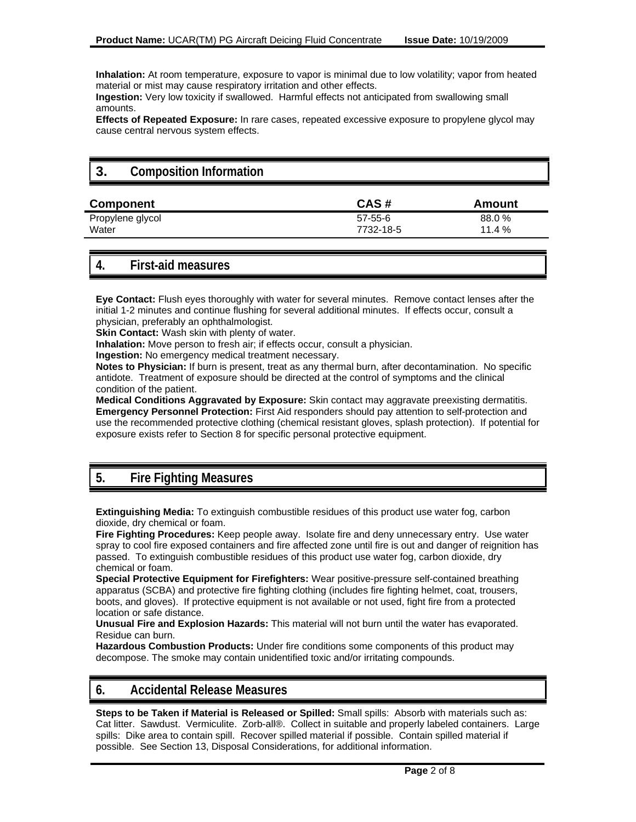**Inhalation:** At room temperature, exposure to vapor is minimal due to low volatility; vapor from heated material or mist may cause respiratory irritation and other effects.

**Ingestion:** Very low toxicity if swallowed. Harmful effects not anticipated from swallowing small amounts.

**Effects of Repeated Exposure:** In rare cases, repeated excessive exposure to propylene glycol may cause central nervous system effects.

# **3. Composition Information**

| Component        | CAS#      | Amount   |
|------------------|-----------|----------|
| Propylene glycol | 57-55-6   | 88.0 %   |
| Water            | 7732-18-5 | 11.4 $%$ |

# **4. First-aid measures**

**Eye Contact:** Flush eyes thoroughly with water for several minutes. Remove contact lenses after the initial 1-2 minutes and continue flushing for several additional minutes. If effects occur, consult a physician, preferably an ophthalmologist.

**Skin Contact:** Wash skin with plenty of water.

**Inhalation:** Move person to fresh air; if effects occur, consult a physician.

**Ingestion:** No emergency medical treatment necessary.

**Notes to Physician:** If burn is present, treat as any thermal burn, after decontamination. No specific antidote. Treatment of exposure should be directed at the control of symptoms and the clinical condition of the patient.

**Medical Conditions Aggravated by Exposure:** Skin contact may aggravate preexisting dermatitis. **Emergency Personnel Protection:** First Aid responders should pay attention to self-protection and use the recommended protective clothing (chemical resistant gloves, splash protection). If potential for exposure exists refer to Section 8 for specific personal protective equipment.

# **5. Fire Fighting Measures**

**Extinguishing Media:** To extinguish combustible residues of this product use water fog, carbon dioxide, dry chemical or foam.

**Fire Fighting Procedures:** Keep people away. Isolate fire and deny unnecessary entry. Use water spray to cool fire exposed containers and fire affected zone until fire is out and danger of reignition has passed. To extinguish combustible residues of this product use water fog, carbon dioxide, dry chemical or foam.

**Special Protective Equipment for Firefighters:** Wear positive-pressure self-contained breathing apparatus (SCBA) and protective fire fighting clothing (includes fire fighting helmet, coat, trousers, boots, and gloves). If protective equipment is not available or not used, fight fire from a protected location or safe distance.

**Unusual Fire and Explosion Hazards:** This material will not burn until the water has evaporated. Residue can burn.

**Hazardous Combustion Products:** Under fire conditions some components of this product may decompose. The smoke may contain unidentified toxic and/or irritating compounds.

# **6. Accidental Release Measures**

**Steps to be Taken if Material is Released or Spilled:** Small spills: Absorb with materials such as: Cat litter. Sawdust. Vermiculite. Zorb-all®. Collect in suitable and properly labeled containers. Large spills: Dike area to contain spill. Recover spilled material if possible. Contain spilled material if possible. See Section 13, Disposal Considerations, for additional information.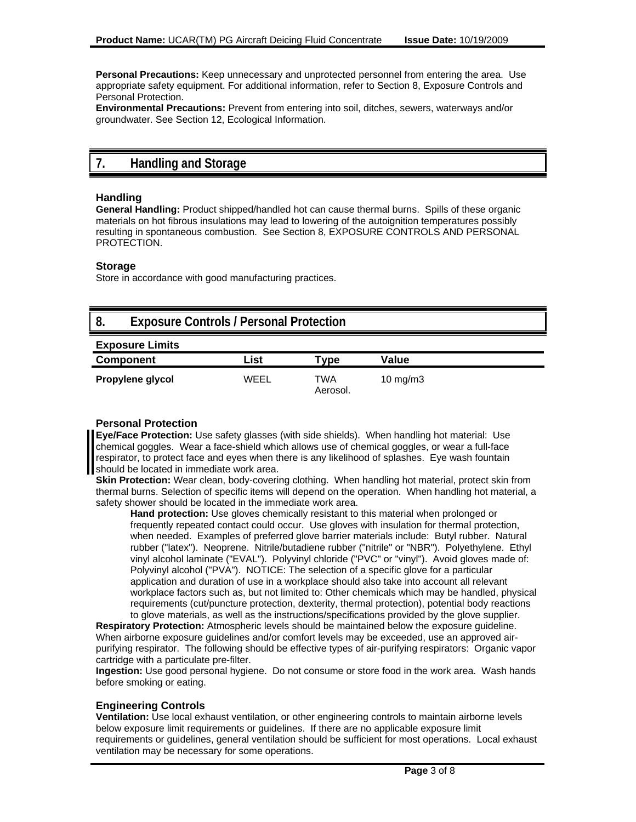**Personal Precautions:** Keep unnecessary and unprotected personnel from entering the area. Use appropriate safety equipment. For additional information, refer to Section 8, Exposure Controls and Personal Protection.

**Environmental Precautions:** Prevent from entering into soil, ditches, sewers, waterways and/or groundwater. See Section 12, Ecological Information.

# **7. Handling and Storage**

#### **Handling**

**General Handling:** Product shipped/handled hot can cause thermal burns. Spills of these organic materials on hot fibrous insulations may lead to lowering of the autoignition temperatures possibly resulting in spontaneous combustion. See Section 8, EXPOSURE CONTROLS AND PERSONAL PROTECTION.

#### **Storage**

Store in accordance with good manufacturing practices.

| 8.<br><b>Exposure Controls / Personal Protection</b> |      |                 |                     |  |
|------------------------------------------------------|------|-----------------|---------------------|--|
| <b>Exposure Limits</b>                               |      |                 |                     |  |
| <b>Component</b>                                     | List | Type            | Value               |  |
| Propylene glycol                                     | WEEL | TWA<br>Aerosol. | $10 \text{ mg/m}$ 3 |  |

#### **Personal Protection**

**Eye/Face Protection:** Use safety glasses (with side shields). When handling hot material: Use chemical goggles. Wear a face-shield which allows use of chemical goggles, or wear a full-face respirator, to protect face and eyes when there is any likelihood of splashes. Eye wash fountain should be located in immediate work area.

**Skin Protection:** Wear clean, body-covering clothing. When handling hot material, protect skin from thermal burns. Selection of specific items will depend on the operation. When handling hot material, a safety shower should be located in the immediate work area.

**Hand protection:** Use gloves chemically resistant to this material when prolonged or frequently repeated contact could occur. Use gloves with insulation for thermal protection, when needed. Examples of preferred glove barrier materials include: Butyl rubber. Natural rubber ("latex"). Neoprene. Nitrile/butadiene rubber ("nitrile" or "NBR"). Polyethylene. Ethyl vinyl alcohol laminate ("EVAL"). Polyvinyl chloride ("PVC" or "vinyl"). Avoid gloves made of: Polyvinyl alcohol ("PVA"). NOTICE: The selection of a specific glove for a particular application and duration of use in a workplace should also take into account all relevant workplace factors such as, but not limited to: Other chemicals which may be handled, physical requirements (cut/puncture protection, dexterity, thermal protection), potential body reactions to glove materials, as well as the instructions/specifications provided by the glove supplier.

**Respiratory Protection:** Atmospheric levels should be maintained below the exposure guideline. When airborne exposure guidelines and/or comfort levels may be exceeded, use an approved airpurifying respirator. The following should be effective types of air-purifying respirators: Organic vapor cartridge with a particulate pre-filter.

**Ingestion:** Use good personal hygiene. Do not consume or store food in the work area. Wash hands before smoking or eating.

#### **Engineering Controls**

**Ventilation:** Use local exhaust ventilation, or other engineering controls to maintain airborne levels below exposure limit requirements or guidelines. If there are no applicable exposure limit requirements or guidelines, general ventilation should be sufficient for most operations. Local exhaust ventilation may be necessary for some operations.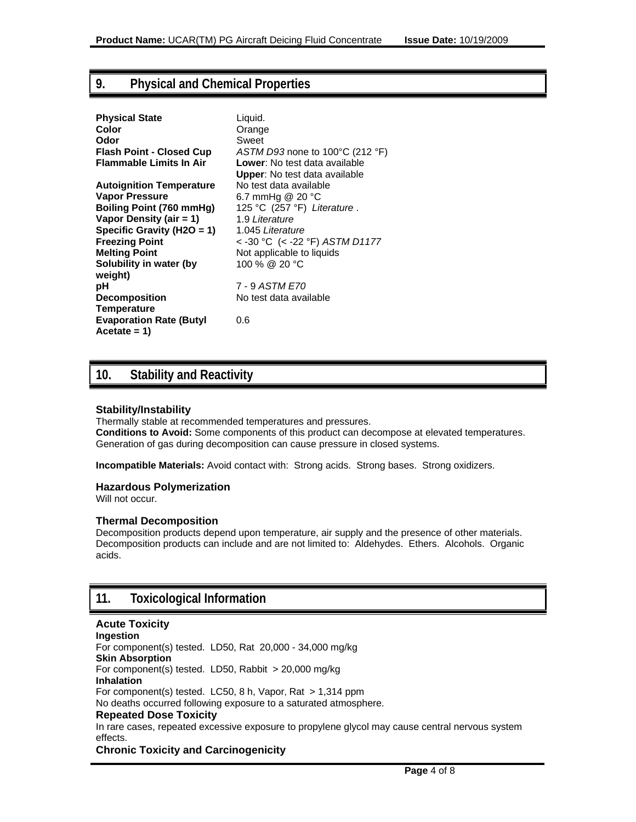# **9. Physical and Chemical Properties**

| <b>Physical State</b>           | Liquid.                                                |
|---------------------------------|--------------------------------------------------------|
| Color                           | Orange                                                 |
| Odor                            | Sweet                                                  |
| <b>Flash Point - Closed Cup</b> | $ASTM$ D93 none to 100 $^{\circ}$ C (212 $^{\circ}$ F) |
| <b>Flammable Limits In Air</b>  | Lower: No test data available                          |
|                                 | Upper: No test data available                          |
| <b>Autoignition Temperature</b> | No test data available                                 |
| <b>Vapor Pressure</b>           | 6.7 mmHg @ 20 $^{\circ}$ C                             |
| <b>Boiling Point (760 mmHg)</b> | 125 °C (257 °F) Literature.                            |
| Vapor Density (air = 1)         | 1.9 Literature                                         |
| Specific Gravity (H2O = 1)      | 1.045 Literature                                       |
| <b>Freezing Point</b>           | < -30 °C (< -22 °F) ASTM D1177                         |
| <b>Melting Point</b>            | Not applicable to liquids                              |
| Solubility in water (by         | 100 % @ 20 °C                                          |
| weight)                         |                                                        |
| рH                              | 7 - 9 ASTM E70                                         |
| <b>Decomposition</b>            | No test data available                                 |
| Temperature                     |                                                        |
| <b>Evaporation Rate (Butyl</b>  | 0.6                                                    |
| $Accetate = 1$                  |                                                        |

# **10. Stability and Reactivity**

#### **Stability/Instability**

Thermally stable at recommended temperatures and pressures. **Conditions to Avoid:** Some components of this product can decompose at elevated temperatures. Generation of gas during decomposition can cause pressure in closed systems.

**Incompatible Materials:** Avoid contact with: Strong acids. Strong bases. Strong oxidizers.

#### **Hazardous Polymerization**

Will not occur.

#### **Thermal Decomposition**

Decomposition products depend upon temperature, air supply and the presence of other materials. Decomposition products can include and are not limited to: Aldehydes. Ethers. Alcohols. Organic acids.

# **11. Toxicological Information**

#### **Acute Toxicity Ingestion**  For component(s) tested. LD50, Rat 20,000 - 34,000 mg/kg **Skin Absorption**  For component(s) tested. LD50, Rabbit > 20,000 mg/kg **Inhalation**  For component(s) tested. LC50, 8 h, Vapor, Rat > 1,314 ppm No deaths occurred following exposure to a saturated atmosphere. **Repeated Dose Toxicity** In rare cases, repeated excessive exposure to propylene glycol may cause central nervous system effects. **Chronic Toxicity and Carcinogenicity**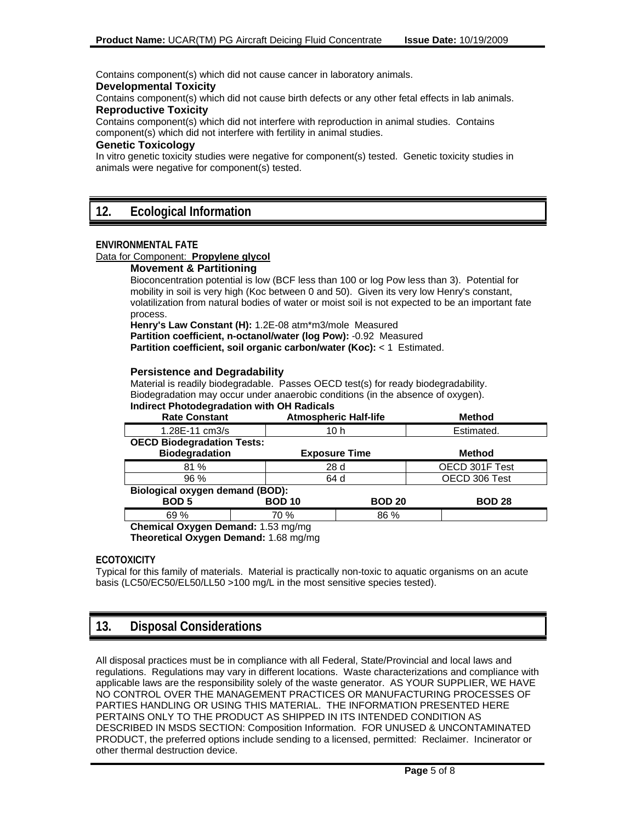Contains component(s) which did not cause cancer in laboratory animals.

#### **Developmental Toxicity**

Contains component(s) which did not cause birth defects or any other fetal effects in lab animals.

#### **Reproductive Toxicity**

Contains component(s) which did not interfere with reproduction in animal studies. Contains component(s) which did not interfere with fertility in animal studies.

#### **Genetic Toxicology**

In vitro genetic toxicity studies were negative for component(s) tested. Genetic toxicity studies in animals were negative for component(s) tested.

#### **ENVIRONMENTAL FATE**

#### Data for Component: **Propylene glycol**

#### **Movement & Partitioning**

Bioconcentration potential is low (BCF less than 100 or log Pow less than 3). Potential for mobility in soil is very high (Koc between 0 and 50). Given its very low Henry's constant, volatilization from natural bodies of water or moist soil is not expected to be an important fate process.

**Henry's Law Constant (H):** 1.2E-08 atm\*m3/mole Measured **Partition coefficient, n-octanol/water (log Pow):** -0.92 Measured **Partition coefficient, soil organic carbon/water (Koc):** < 1 Estimated.

#### **Persistence and Degradability**

Material is readily biodegradable. Passes OECD test(s) for ready biodegradability. Biodegradation may occur under anaerobic conditions (in the absence of oxygen). **Indirect Photodegradation with OH Radicals**

| <b>Rate Constant</b>                   |               | <b>Atmospheric Half-life</b> | <b>Method</b>  |
|----------------------------------------|---------------|------------------------------|----------------|
| 1.28E-11 cm3/s                         |               | 10 h                         | Estimated.     |
| <b>OECD Biodegradation Tests:</b>      |               |                              |                |
| <b>Biodegradation</b>                  |               | <b>Exposure Time</b>         | <b>Method</b>  |
| 81%                                    |               | 28 d                         | OECD 301F Test |
| $96\%$                                 |               | 64 d                         | OECD 306 Test  |
| <b>Biological oxygen demand (BOD):</b> |               |                              |                |
| <b>BOD 5</b>                           | <b>BOD 10</b> | <b>BOD 20</b>                | <b>BOD 28</b>  |
| 69 %                                   | 70 %          | 86 %                         |                |
| Chemical Oxygen Demand: 1.53 mg/mg     |               |                              |                |

**Theoretical Oxygen Demand:** 1.68 mg/mg

#### **ECOTOXICITY**

Typical for this family of materials. Material is practically non-toxic to aquatic organisms on an acute basis (LC50/EC50/EL50/LL50 >100 mg/L in the most sensitive species tested).

# **13. Disposal Considerations**

All disposal practices must be in compliance with all Federal, State/Provincial and local laws and regulations. Regulations may vary in different locations. Waste characterizations and compliance with applicable laws are the responsibility solely of the waste generator. AS YOUR SUPPLIER, WE HAVE NO CONTROL OVER THE MANAGEMENT PRACTICES OR MANUFACTURING PROCESSES OF PARTIES HANDLING OR USING THIS MATERIAL. THE INFORMATION PRESENTED HERE PERTAINS ONLY TO THE PRODUCT AS SHIPPED IN ITS INTENDED CONDITION AS DESCRIBED IN MSDS SECTION: Composition Information. FOR UNUSED & UNCONTAMINATED PRODUCT, the preferred options include sending to a licensed, permitted: Reclaimer. Incinerator or other thermal destruction device.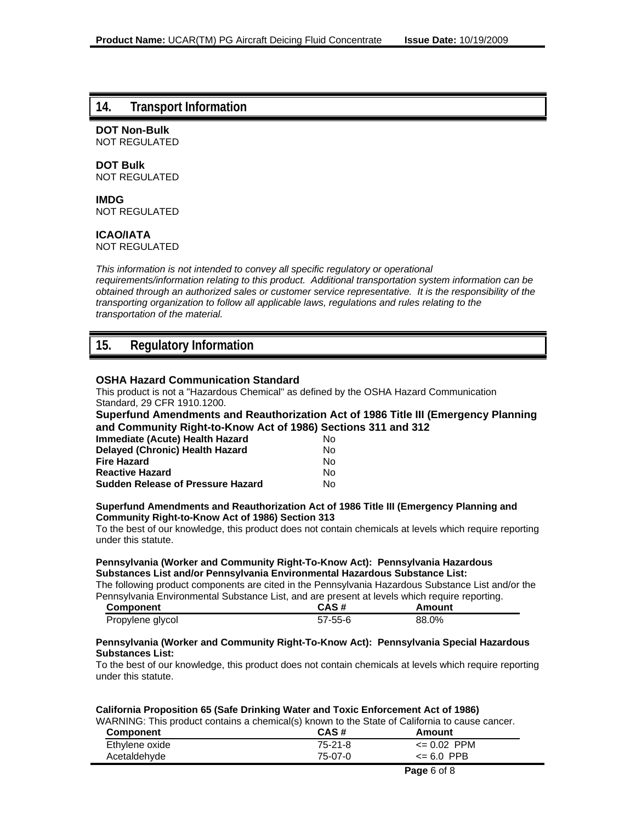#### **14. Transport Information**

**DOT Non-Bulk** NOT REGULATED

### **DOT Bulk**

NOT REGULATED

### **IMDG**

NOT REGULATED

#### **ICAO/IATA**

NOT REGULATED

*This information is not intended to convey all specific regulatory or operational requirements/information relating to this product. Additional transportation system information can be obtained through an authorized sales or customer service representative. It is the responsibility of the transporting organization to follow all applicable laws, regulations and rules relating to the transportation of the material.*

# **15. Regulatory Information**

#### **OSHA Hazard Communication Standard**

This product is not a "Hazardous Chemical" as defined by the OSHA Hazard Communication Standard, 29 CFR 1910.1200.

#### **Superfund Amendments and Reauthorization Act of 1986 Title III (Emergency Planning and Community Right-to-Know Act of 1986) Sections 311 and 312**

| Immediate (Acute) Health Hazard          | Nο |
|------------------------------------------|----|
| Delayed (Chronic) Health Hazard          | Nο |
| Fire Hazard                              | Nο |
| <b>Reactive Hazard</b>                   | N٥ |
| <b>Sudden Release of Pressure Hazard</b> | N٥ |

#### **Superfund Amendments and Reauthorization Act of 1986 Title III (Emergency Planning and Community Right-to-Know Act of 1986) Section 313**

To the best of our knowledge, this product does not contain chemicals at levels which require reporting under this statute.

#### **Pennsylvania (Worker and Community Right-To-Know Act): Pennsylvania Hazardous Substances List and/or Pennsylvania Environmental Hazardous Substance List:**

The following product components are cited in the Pennsylvania Hazardous Substance List and/or the Pennsylvania Environmental Substance List, and are present at levels which require reporting.

| <b>Component</b> | CAS #         | Amount |
|------------------|---------------|--------|
| Propylene glycol | $57 - 55 - 6$ | 88.0%  |

#### **Pennsylvania (Worker and Community Right-To-Know Act): Pennsylvania Special Hazardous Substances List:**

To the best of our knowledge, this product does not contain chemicals at levels which require reporting under this statute.

#### **California Proposition 65 (Safe Drinking Water and Toxic Enforcement Act of 1986)**

WARNING: This product contains a chemical(s) known to the State of California to cause cancer.

| Component      | CAS#    | Amount         |
|----------------|---------|----------------|
| Ethylene oxide | 75-21-8 | <= 0.02 PPM    |
| Acetaldehyde   | 75-07-0 | $\leq 6.0$ PPB |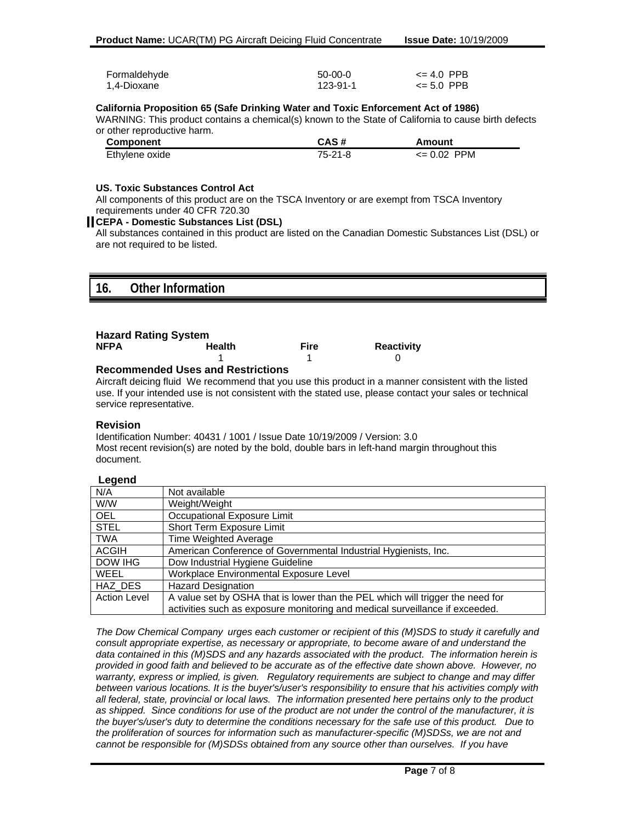| Formaldehyde | $50-00-0$ | $\leq 4.0$ PPB |
|--------------|-----------|----------------|
| 1,4-Dioxane  | 123-91-1  | $\leq 5.0$ PPB |

#### **California Proposition 65 (Safe Drinking Water and Toxic Enforcement Act of 1986)**

WARNING: This product contains a chemical(s) known to the State of California to cause birth defects or other reproductive harm.

| <b>Component</b> | CAS#      | Amount          |
|------------------|-----------|-----------------|
| Ethylene oxide   | $75-21-8$ | $\leq 0.02$ PPM |

#### **US. Toxic Substances Control Act**

All components of this product are on the TSCA Inventory or are exempt from TSCA Inventory requirements under 40 CFR 720.30

#### **CEPA - Domestic Substances List (DSL)**

All substances contained in this product are listed on the Canadian Domestic Substances List (DSL) or are not required to be listed.

| $\overline{\phantom{a}}$<br>ıv. | Other Information<br>iation |
|---------------------------------|-----------------------------|
|                                 |                             |

| <b>Hazard Rating System</b> |        |      |                   |  |  |
|-----------------------------|--------|------|-------------------|--|--|
| <b>NFPA</b>                 | Health | Fire | <b>Reactivity</b> |  |  |
|                             |        |      |                   |  |  |
|                             |        |      |                   |  |  |

#### **Recommended Uses and Restrictions**

Aircraft deicing fluid We recommend that you use this product in a manner consistent with the listed use. If your intended use is not consistent with the stated use, please contact your sales or technical service representative.

#### **Revision**

Identification Number: 40431 / 1001 / Issue Date 10/19/2009 / Version: 3.0 Most recent revision(s) are noted by the bold, double bars in left-hand margin throughout this document.

#### **Legend**

| -- 9 - - - -        |                                                                                |
|---------------------|--------------------------------------------------------------------------------|
| N/A                 | Not available                                                                  |
| W/W                 | Weight/Weight                                                                  |
| <b>OEL</b>          | Occupational Exposure Limit                                                    |
| <b>STEL</b>         | Short Term Exposure Limit                                                      |
| <b>TWA</b>          | <b>Time Weighted Average</b>                                                   |
| <b>ACGIH</b>        | American Conference of Governmental Industrial Hygienists, Inc.                |
| DOW IHG             | Dow Industrial Hygiene Guideline                                               |
| <b>WEEL</b>         | Workplace Environmental Exposure Level                                         |
| HAZ DES             | <b>Hazard Designation</b>                                                      |
| <b>Action Level</b> | A value set by OSHA that is lower than the PEL which will trigger the need for |
|                     | activities such as exposure monitoring and medical surveillance if exceeded.   |

*The Dow Chemical Company urges each customer or recipient of this (M)SDS to study it carefully and consult appropriate expertise, as necessary or appropriate, to become aware of and understand the data contained in this (M)SDS and any hazards associated with the product. The information herein is provided in good faith and believed to be accurate as of the effective date shown above. However, no warranty, express or implied, is given. Regulatory requirements are subject to change and may differ between various locations. It is the buyer's/user's responsibility to ensure that his activities comply with all federal, state, provincial or local laws. The information presented here pertains only to the product as shipped. Since conditions for use of the product are not under the control of the manufacturer, it is the buyer's/user's duty to determine the conditions necessary for the safe use of this product. Due to the proliferation of sources for information such as manufacturer-specific (M)SDSs, we are not and cannot be responsible for (M)SDSs obtained from any source other than ourselves. If you have*